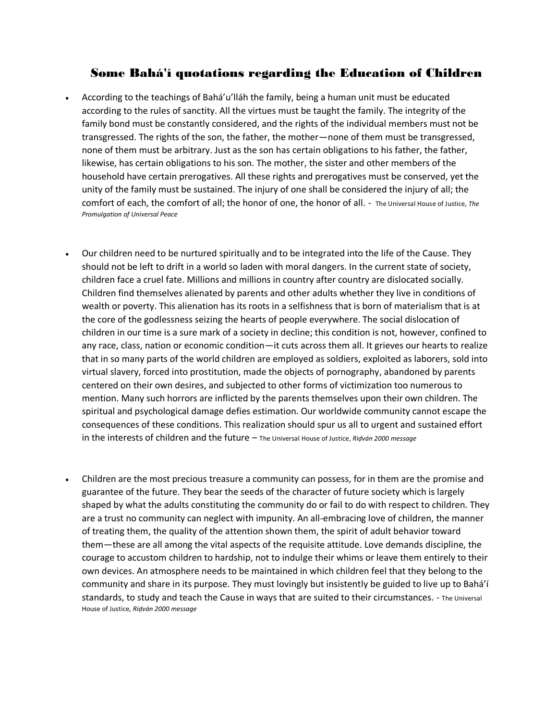## Some Bahá'í quotations regarding the Education of Children

- According to the teachings of Bahá'u'lláh the family, being a human unit must be educated according to the rules of sanctity. All the virtues must be taught the family. The integrity of the family bond must be constantly considered, and the rights of the individual members must not be transgressed. The rights of the son, the father, the mother—none of them must be transgressed, none of them must be arbitrary. Just as the son has certain obligations to his father, the father, likewise, has certain obligations to his son. The mother, the sister and other members of the household have certain prerogatives. All these rights and prerogatives must be conserved, yet the unity of the family must be sustained. The injury of one shall be considered the injury of all; the comfort of each, the comfort of all; the honor of one, the honor of all. - The Universal House of Justice, *The Promulgation of Universal Peace*
- Our children need to be nurtured spiritually and to be integrated into the life of the Cause. They should not be left to drift in a world so laden with moral dangers. In the current state of society, children face a cruel fate. Millions and millions in country after country are dislocated socially. Children find themselves alienated by parents and other adults whether they live in conditions of wealth or poverty. This alienation has its roots in a selfishness that is born of materialism that is at the core of the godlessness seizing the hearts of people everywhere. The social dislocation of children in our time is a sure mark of a society in decline; this condition is not, however, confined to any race, class, nation or economic condition—it cuts across them all. It grieves our hearts to realize that in so many parts of the world children are employed as soldiers, exploited as laborers, sold into virtual slavery, forced into prostitution, made the objects of pornography, abandoned by parents centered on their own desires, and subjected to other forms of victimization too numerous to mention. Many such horrors are inflicted by the parents themselves upon their own children. The spiritual and psychological damage defies estimation. Our worldwide community cannot escape the consequences of these conditions. This realization should spur us all to urgent and sustained effort in the interests of children and the future – The Universal House of Justice, *Riḍván 2000 message*
- Children are the most precious treasure a community can possess, for in them are the promise and guarantee of the future. They bear the seeds of the character of future society which is largely shaped by what the adults constituting the community do or fail to do with respect to children. They are a trust no community can neglect with impunity. An all-embracing love of children, the manner of treating them, the quality of the attention shown them, the spirit of adult behavior toward them—these are all among the vital aspects of the requisite attitude. Love demands discipline, the courage to accustom children to hardship, not to indulge their whims or leave them entirely to their own devices. An atmosphere needs to be maintained in which children feel that they belong to the community and share in its purpose. They must lovingly but insistently be guided to live up to Bahá'í standards, to study and teach the Cause in ways that are suited to their circumstances. - The Universal House of Justice*, Riḍván 2000 message*